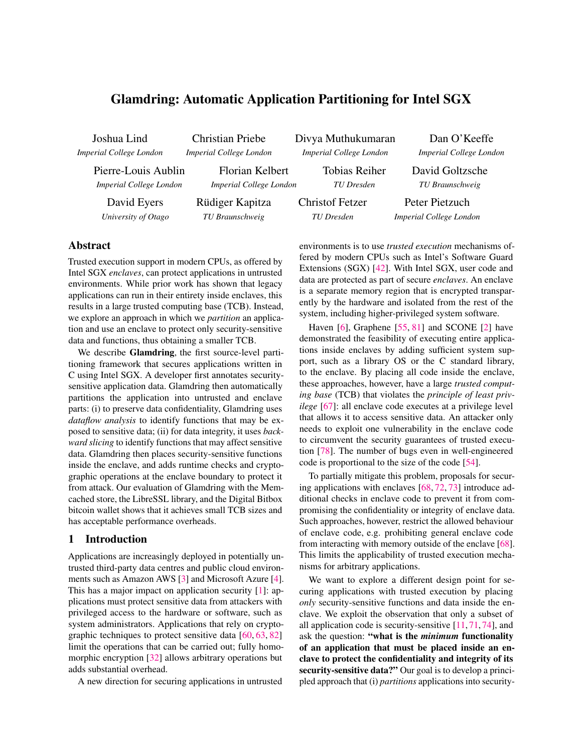# Glamdring: Automatic Application Partitioning for Intel SGX

Joshua Lind *Imperial College London*

Christian Priebe *Imperial College London* Divya Muthukumaran *Imperial College London*

Pierre-Louis Aublin *Imperial College London*

*Imperial College London* Rüdiger Kapitza *TU Braunschweig*

Florian Kelbert

*TU Dresden* Christof Fetzer *TU Dresden*

Dan O'Keeffe *Imperial College London*

*TU Braunschweig*

David Eyers *University of Otago*

Abstract

Trusted execution support in modern CPUs, as offered by Intel SGX *enclaves*, can protect applications in untrusted environments. While prior work has shown that legacy applications can run in their entirety inside enclaves, this results in a large trusted computing base (TCB). Instead, we explore an approach in which we *partition* an application and use an enclave to protect only security-sensitive data and functions, thus obtaining a smaller TCB.

We describe Glamdring, the first source-level partitioning framework that secures applications written in C using Intel SGX. A developer first annotates securitysensitive application data. Glamdring then automatically partitions the application into untrusted and enclave parts: (i) to preserve data confidentiality, Glamdring uses *dataflow analysis* to identify functions that may be exposed to sensitive data; (ii) for data integrity, it uses *backward slicing* to identify functions that may affect sensitive data. Glamdring then places security-sensitive functions inside the enclave, and adds runtime checks and cryptographic operations at the enclave boundary to protect it from attack. Our evaluation of Glamdring with the Memcached store, the LibreSSL library, and the Digital Bitbox bitcoin wallet shows that it achieves small TCB sizes and has acceptable performance overheads.

#### 1 Introduction

Applications are increasingly deployed in potentially untrusted third-party data centres and public cloud environments such as Amazon AWS [\[3\]](#page-11-0) and Microsoft Azure [\[4\]](#page-11-1). This has a major impact on application security [\[1\]](#page-11-2): applications must protect sensitive data from attackers with privileged access to the hardware or software, such as system administrators. Applications that rely on cryptographic techniques to protect sensitive data [\[60,](#page-12-0) [63,](#page-12-1) [82\]](#page-13-0) limit the operations that can be carried out; fully homomorphic encryption [\[32\]](#page-11-3) allows arbitrary operations but adds substantial overhead.

A new direction for securing applications in untrusted

environments is to use *trusted execution* mechanisms offered by modern CPUs such as Intel's Software Guard Extensions (SGX) [\[42\]](#page-12-2). With Intel SGX, user code and data are protected as part of secure *enclaves*. An enclave is a separate memory region that is encrypted transparently by the hardware and isolated from the rest of the system, including higher-privileged system software.

Haven [\[6\]](#page-11-4), Graphene [\[55,](#page-12-3) [81\]](#page-13-1) and SCONE [\[2\]](#page-11-5) have demonstrated the feasibility of executing entire applications inside enclaves by adding sufficient system support, such as a library OS or the C standard library, to the enclave. By placing all code inside the enclave, these approaches, however, have a large *trusted computing base* (TCB) that violates the *principle of least privilege* [\[67\]](#page-12-4): all enclave code executes at a privilege level that allows it to access sensitive data. An attacker only needs to exploit one vulnerability in the enclave code to circumvent the security guarantees of trusted execution [\[78\]](#page-12-5). The number of bugs even in well-engineered code is proportional to the size of the code [\[54\]](#page-12-6).

To partially mitigate this problem, proposals for securing applications with enclaves [\[68,](#page-12-7) [72,](#page-12-8) [73\]](#page-12-9) introduce additional checks in enclave code to prevent it from compromising the confidentiality or integrity of enclave data. Such approaches, however, restrict the allowed behaviour of enclave code, e.g. prohibiting general enclave code from interacting with memory outside of the enclave [\[68\]](#page-12-7). This limits the applicability of trusted execution mechanisms for arbitrary applications.

We want to explore a different design point for securing applications with trusted execution by placing *only* security-sensitive functions and data inside the enclave. We exploit the observation that only a subset of all application code is security-sensitive [\[11,](#page-11-6) [71,](#page-12-10) [74\]](#page-12-11), and ask the question: "what is the *minimum* functionality of an application that must be placed inside an enclave to protect the confidentiality and integrity of its security-sensitive data?" Our goal is to develop a principled approach that (i) *partitions* applications into security-

David Goltzsche Peter Pietzuch

*Imperial College London*

Tobias Reiher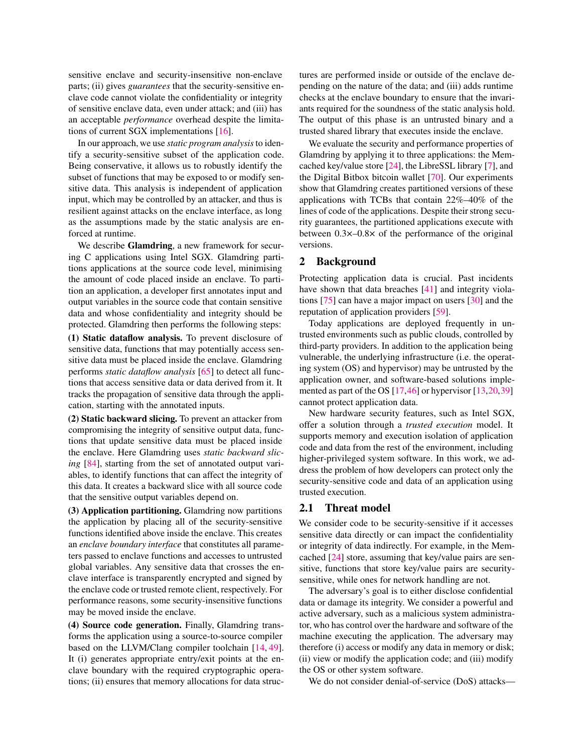sensitive enclave and security-insensitive non-enclave parts; (ii) gives *guarantees* that the security-sensitive enclave code cannot violate the confidentiality or integrity of sensitive enclave data, even under attack; and (iii) has an acceptable *performance* overhead despite the limitations of current SGX implementations [\[16\]](#page-11-7).

In our approach, we use *static program analysis* to identify a security-sensitive subset of the application code. Being conservative, it allows us to robustly identify the subset of functions that may be exposed to or modify sensitive data. This analysis is independent of application input, which may be controlled by an attacker, and thus is resilient against attacks on the enclave interface, as long as the assumptions made by the static analysis are enforced at runtime.

We describe **Glamdring**, a new framework for securing C applications using Intel SGX. Glamdring partitions applications at the source code level, minimising the amount of code placed inside an enclave. To partition an application, a developer first annotates input and output variables in the source code that contain sensitive data and whose confidentiality and integrity should be protected. Glamdring then performs the following steps:

(1) Static dataflow analysis. To prevent disclosure of sensitive data, functions that may potentially access sensitive data must be placed inside the enclave. Glamdring performs *static dataflow analysis* [\[65\]](#page-12-12) to detect all functions that access sensitive data or data derived from it. It tracks the propagation of sensitive data through the application, starting with the annotated inputs.

(2) Static backward slicing. To prevent an attacker from compromising the integrity of sensitive output data, functions that update sensitive data must be placed inside the enclave. Here Glamdring uses *static backward slicing* [\[84\]](#page-13-2), starting from the set of annotated output variables, to identify functions that can affect the integrity of this data. It creates a backward slice with all source code that the sensitive output variables depend on.

(3) Application partitioning. Glamdring now partitions the application by placing all of the security-sensitive functions identified above inside the enclave. This creates an *enclave boundary interface* that constitutes all parameters passed to enclave functions and accesses to untrusted global variables. Any sensitive data that crosses the enclave interface is transparently encrypted and signed by the enclave code or trusted remote client, respectively. For performance reasons, some security-insensitive functions may be moved inside the enclave.

(4) Source code generation. Finally, Glamdring transforms the application using a source-to-source compiler based on the LLVM/Clang compiler toolchain [\[14,](#page-11-8) [49\]](#page-12-13). It (i) generates appropriate entry/exit points at the enclave boundary with the required cryptographic operations; (ii) ensures that memory allocations for data structures are performed inside or outside of the enclave depending on the nature of the data; and (iii) adds runtime checks at the enclave boundary to ensure that the invariants required for the soundness of the static analysis hold. The output of this phase is an untrusted binary and a trusted shared library that executes inside the enclave.

We evaluate the security and performance properties of Glamdring by applying it to three applications: the Memcached key/value store [\[24\]](#page-11-9), the LibreSSL library [\[7\]](#page-11-10), and the Digital Bitbox bitcoin wallet [\[70\]](#page-12-14). Our experiments show that Glamdring creates partitioned versions of these applications with TCBs that contain 22%–40% of the lines of code of the applications. Despite their strong security guarantees, the partitioned applications execute with between 0.3×–0.8× of the performance of the original versions.

#### 2 Background

Protecting application data is crucial. Past incidents have shown that data breaches [\[41\]](#page-12-15) and integrity violations [\[75\]](#page-12-16) can have a major impact on users [\[30\]](#page-11-11) and the reputation of application providers [\[59\]](#page-12-17).

Today applications are deployed frequently in untrusted environments such as public clouds, controlled by third-party providers. In addition to the application being vulnerable, the underlying infrastructure (i.e. the operating system (OS) and hypervisor) may be untrusted by the application owner, and software-based solutions implemented as part of the OS [\[17](#page-11-12)[,46\]](#page-12-18) or hypervisor [\[13,](#page-11-13)[20,](#page-11-14)[39\]](#page-11-15) cannot protect application data.

New hardware security features, such as Intel SGX, offer a solution through a *trusted execution* model. It supports memory and execution isolation of application code and data from the rest of the environment, including higher-privileged system software. In this work, we address the problem of how developers can protect only the security-sensitive code and data of an application using trusted execution.

#### 2.1 Threat model

We consider code to be security-sensitive if it accesses sensitive data directly or can impact the confidentiality or integrity of data indirectly. For example, in the Memcached [\[24\]](#page-11-9) store, assuming that key/value pairs are sensitive, functions that store key/value pairs are securitysensitive, while ones for network handling are not.

The adversary's goal is to either disclose confidential data or damage its integrity. We consider a powerful and active adversary, such as a malicious system administrator, who has control over the hardware and software of the machine executing the application. The adversary may therefore (i) access or modify any data in memory or disk; (ii) view or modify the application code; and (iii) modify the OS or other system software.

We do not consider denial-of-service (DoS) attacks—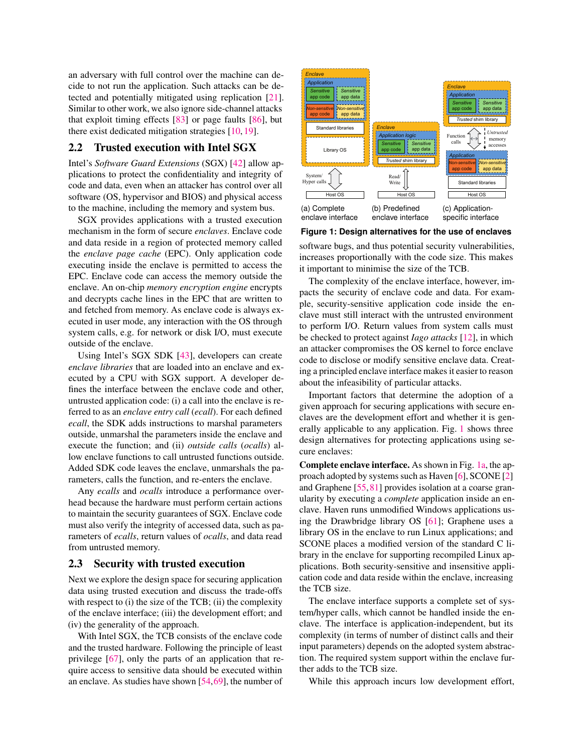an adversary with full control over the machine can decide to not run the application. Such attacks can be detected and potentially mitigated using replication [\[21\]](#page-11-16). Similar to other work, we also ignore side-channel attacks that exploit timing effects  $[83]$  or page faults  $[86]$ , but there exist dedicated mitigation strategies [\[10,](#page-11-17) [19\]](#page-11-18).

# 2.2 Trusted execution with Intel SGX

Intel's *Software Guard Extensions* (SGX) [\[42\]](#page-12-2) allow applications to protect the confidentiality and integrity of code and data, even when an attacker has control over all software (OS, hypervisor and BIOS) and physical access to the machine, including the memory and system bus.

SGX provides applications with a trusted execution mechanism in the form of secure *enclaves*. Enclave code and data reside in a region of protected memory called the *enclave page cache* (EPC). Only application code executing inside the enclave is permitted to access the EPC. Enclave code can access the memory outside the enclave. An on-chip *memory encryption engine* encrypts and decrypts cache lines in the EPC that are written to and fetched from memory. As enclave code is always executed in user mode, any interaction with the OS through system calls, e.g. for network or disk I/O, must execute outside of the enclave.

Using Intel's SGX SDK [\[43\]](#page-12-19), developers can create *enclave libraries* that are loaded into an enclave and executed by a CPU with SGX support. A developer defines the interface between the enclave code and other, untrusted application code: (i) a call into the enclave is referred to as an *enclave entry call* (*ecall*). For each defined *ecall*, the SDK adds instructions to marshal parameters outside, unmarshal the parameters inside the enclave and execute the function; and (ii) *outside calls* (*ocalls*) allow enclave functions to call untrusted functions outside. Added SDK code leaves the enclave, unmarshals the parameters, calls the function, and re-enters the enclave.

Any *ecalls* and *ocalls* introduce a performance overhead because the hardware must perform certain actions to maintain the security guarantees of SGX. Enclave code must also verify the integrity of accessed data, such as parameters of *ecalls*, return values of *ocalls*, and data read from untrusted memory.

#### <span id="page-2-1"></span>2.3 Security with trusted execution

Next we explore the design space for securing application data using trusted execution and discuss the trade-offs with respect to (i) the size of the TCB; (ii) the complexity of the enclave interface; (iii) the development effort; and (iv) the generality of the approach.

With Intel SGX, the TCB consists of the enclave code and the trusted hardware. Following the principle of least privilege [\[67\]](#page-12-4), only the parts of an application that require access to sensitive data should be executed within an enclave. As studies have shown [\[54,](#page-12-6)[69\]](#page-12-20), the number of

<span id="page-2-0"></span>

enclave interface enclave interface specific interface

**Figure 1: Design alternatives for the use of enclaves**

software bugs, and thus potential security vulnerabilities, increases proportionally with the code size. This makes it important to minimise the size of the TCB.

The complexity of the enclave interface, however, impacts the security of enclave code and data. For example, security-sensitive application code inside the enclave must still interact with the untrusted environment to perform I/O. Return values from system calls must be checked to protect against *Iago attacks* [\[12\]](#page-11-19), in which an attacker compromises the OS kernel to force enclave code to disclose or modify sensitive enclave data. Creating a principled enclave interface makes it easier to reason about the infeasibility of particular attacks.

Important factors that determine the adoption of a given approach for securing applications with secure enclaves are the development effort and whether it is generally applicable to any application. Fig. [1](#page-2-0) shows three design alternatives for protecting applications using secure enclaves:

Complete enclave interface. As shown in Fig. [1a,](#page-2-0) the approach adopted by systems such as Haven [\[6\]](#page-11-4), SCONE [\[2\]](#page-11-5) and Graphene [\[55,](#page-12-3)[81\]](#page-13-1) provides isolation at a coarse granularity by executing a *complete* application inside an enclave. Haven runs unmodified Windows applications using the Drawbridge library OS [\[61\]](#page-12-21); Graphene uses a library OS in the enclave to run Linux applications; and SCONE places a modified version of the standard C library in the enclave for supporting recompiled Linux applications. Both security-sensitive and insensitive application code and data reside within the enclave, increasing the TCB size.

The enclave interface supports a complete set of system/hyper calls, which cannot be handled inside the enclave. The interface is application-independent, but its complexity (in terms of number of distinct calls and their input parameters) depends on the adopted system abstraction. The required system support within the enclave further adds to the TCB size.

While this approach incurs low development effort,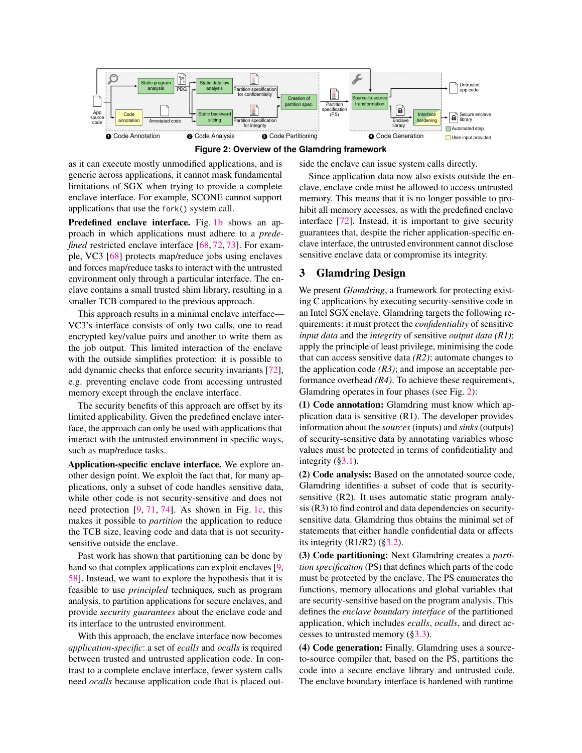<span id="page-3-0"></span>

**Figure 2: Overview of the Glamdring framework**

as it can execute mostly unmodified applications, and is generic across applications, it cannot mask fundamental limitations of SGX when trying to provide a complete enclave interface. For example, SCONE cannot support applications that use the fork() system call.

Predefined enclave interface. Fig. [1b](#page-2-0) shows an approach in which applications must adhere to a *predefined* restricted enclave interface [\[68,](#page-12-7) [72,](#page-12-8) [73\]](#page-12-9). For example, VC3 [\[68\]](#page-12-7) protects map/reduce jobs using enclaves and forces map/reduce tasks to interact with the untrusted environment only through a particular interface. The enclave contains a small trusted shim library, resulting in a smaller TCB compared to the previous approach.

This approach results in a minimal enclave interface— VC3's interface consists of only two calls, one to read encrypted key/value pairs and another to write them as the job output. This limited interaction of the enclave with the outside simplifies protection: it is possible to add dynamic checks that enforce security invariants [\[72\]](#page-12-8), e.g. preventing enclave code from accessing untrusted memory except through the enclave interface.

The security benefits of this approach are offset by its limited applicability. Given the predefined enclave interface, the approach can only be used with applications that interact with the untrusted environment in specific ways, such as map/reduce tasks.

Application-specific enclave interface. We explore another design point. We exploit the fact that, for many applications, only a subset of code handles sensitive data, while other code is not security-sensitive and does not need protection [\[9,](#page-11-20) [71,](#page-12-10) [74\]](#page-12-11). As shown in Fig. [1c,](#page-2-0) this makes it possible to *partition* the application to reduce the TCB size, leaving code and data that is not securitysensitive outside the enclave.

Past work has shown that partitioning can be done by hand so that complex applications can exploit enclaves [\[9,](#page-11-20) [58\]](#page-12-22). Instead, we want to explore the hypothesis that it is feasible to use *principled* techniques, such as program analysis, to partition applications for secure enclaves, and provide *security guarantees* about the enclave code and its interface to the untrusted environment.

With this approach, the enclave interface now becomes *application-specific*: a set of *ecalls* and *ocalls* is required between trusted and untrusted application code. In contrast to a complete enclave interface, fewer system calls need *ocalls* because application code that is placed outside the enclave can issue system calls directly.

Since application data now also exists outside the enclave, enclave code must be allowed to access untrusted memory. This means that it is no longer possible to prohibit all memory accesses, as with the predefined enclave interface [\[72\]](#page-12-8). Instead, it is important to give security guarantees that, despite the richer application-specific enclave interface, the untrusted environment cannot disclose sensitive enclave data or compromise its integrity.

# 3 Glamdring Design

We present *Glamdring*, a framework for protecting existing C applications by executing security-sensitive code in an Intel SGX enclave. Glamdring targets the following requirements: it must protect the *confidentiality* of sensitive *input data* and the *integrity* of sensitive *output data (R1)*; apply the principle of least privilege, minimising the code that can access sensitive data *(R2)*; automate changes to the application code *(R3)*; and impose an acceptable performance overhead *(R4)*. To achieve these requirements, Glamdring operates in four phases (see Fig. [2\)](#page-3-0):

(1) Code annotation: Glamdring must know which application data is sensitive (R1). The developer provides information about the *sources* (inputs) and *sinks* (outputs) of security-sensitive data by annotating variables whose values must be protected in terms of confidentiality and integrity ([§3.1\)](#page-4-0).

(2) Code analysis: Based on the annotated source code, Glamdring identifies a subset of code that is securitysensitive (R2). It uses automatic static program analysis (R3) to find control and data dependencies on securitysensitive data. Glamdring thus obtains the minimal set of statements that either handle confidential data or affects its integrity (R1/R2) ([§3.2\)](#page-4-1).

(3) Code partitioning: Next Glamdring creates a *partition specification* (PS) that defines which parts of the code must be protected by the enclave. The PS enumerates the functions, memory allocations and global variables that are security-sensitive based on the program analysis. This defines the *enclave boundary interface* of the partitioned application, which includes *ecalls*, *ocalls*, and direct accesses to untrusted memory ([§3.3\)](#page-4-2).

(4) Code generation: Finally, Glamdring uses a sourceto-source compiler that, based on the PS, partitions the code into a secure enclave library and untrusted code. The enclave boundary interface is hardened with runtime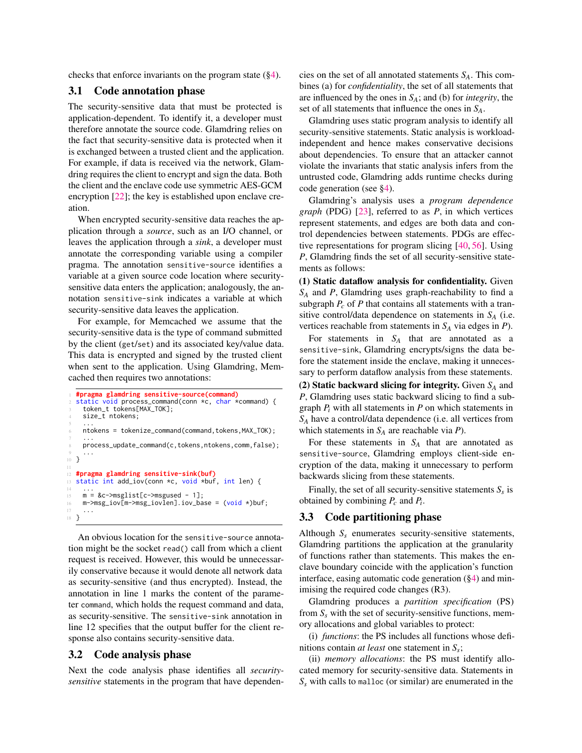checks that enforce invariants on the program state ([§4\)](#page-5-0).

#### <span id="page-4-0"></span>3.1 Code annotation phase

The security-sensitive data that must be protected is application-dependent. To identify it, a developer must therefore annotate the source code. Glamdring relies on the fact that security-sensitive data is protected when it is exchanged between a trusted client and the application. For example, if data is received via the network, Glamdring requires the client to encrypt and sign the data. Both the client and the enclave code use symmetric AES-GCM encryption [\[22\]](#page-11-21); the key is established upon enclave creation.

When encrypted security-sensitive data reaches the application through a *source*, such as an I/O channel, or leaves the application through a *sink*, a developer must annotate the corresponding variable using a compiler pragma. The annotation sensitive-source identifies a variable at a given source code location where securitysensitive data enters the application; analogously, the annotation sensitive-sink indicates a variable at which security-sensitive data leaves the application.

For example, for Memcached we assume that the security-sensitive data is the type of command submitted by the client (get/set) and its associated key/value data. This data is encrypted and signed by the trusted client when sent to the application. Using Glamdring, Memcached then requires two annotations:

```
1 #pragma glamdring sensitive-source(command)
  static void process_command(conn *c, char *command) {
     3 token_t tokens[MAX_TOK];
     size t ntokens:
 5 \cdot \cdot \cdotntokens = tokenize_command(command,tokens,MAX_TOK);
 7 ...
8 process_update_command(c,tokens,ntokens,comm,false);
 9 ...
10 }
\frac{11}{12}12 #pragma glamdring sensitive-sink(buf)
  static int add_iov(conn *c, void *buf, int len) {
14 ...
15 m = &c->msglist[c->msgused - 1];
\frac{16}{16} m->msg_iov[m->msg_iovlen].iov_base = (void *)buf;
17
18 }
```
An obvious location for the sensitive-source annotation might be the socket read() call from which a client request is received. However, this would be unnecessarily conservative because it would denote all network data as security-sensitive (and thus encrypted). Instead, the annotation in line 1 marks the content of the parameter command, which holds the request command and data, as security-sensitive. The sensitive-sink annotation in line 12 specifies that the output buffer for the client response also contains security-sensitive data.

#### <span id="page-4-1"></span>3.2 Code analysis phase

Next the code analysis phase identifies all *securitysensitive* statements in the program that have dependencies on the set of all annotated statements *SA*. This combines (a) for *confidentiality*, the set of all statements that are influenced by the ones in *SA*; and (b) for *integrity*, the set of all statements that influence the ones in *SA*.

Glamdring uses static program analysis to identify all security-sensitive statements. Static analysis is workloadindependent and hence makes conservative decisions about dependencies. To ensure that an attacker cannot violate the invariants that static analysis infers from the untrusted code, Glamdring adds runtime checks during code generation (see [§4\)](#page-5-0).

Glamdring's analysis uses a *program dependence graph* (PDG) [\[23\]](#page-11-22), referred to as *P*, in which vertices represent statements, and edges are both data and control dependencies between statements. PDGs are effective representations for program slicing [\[40,](#page-11-23) [56\]](#page-12-23). Using *P*, Glamdring finds the set of all security-sensitive statements as follows:

(1) Static dataflow analysis for confidentiality. Given *S<sup>A</sup>* and *P*, Glamdring uses graph-reachability to find a subgraph  $P_c$  of  $P$  that contains all statements with a transitive control/data dependence on statements in *S<sup>A</sup>* (i.e. vertices reachable from statements in *S<sup>A</sup>* via edges in *P*).

For statements in *S<sup>A</sup>* that are annotated as a sensitive-sink, Glamdring encrypts/signs the data before the statement inside the enclave, making it unnecessary to perform dataflow analysis from these statements.

(2) Static backward slicing for integrity. Given *S<sup>A</sup>* and *P*, Glamdring uses static backward slicing to find a subgraph  $P_i$  with all statements in  $P$  on which statements in *S<sup>A</sup>* have a control/data dependence (i.e. all vertices from which statements in *S<sup>A</sup>* are reachable via *P*).

For these statements in *S<sup>A</sup>* that are annotated as sensitive-source, Glamdring employs client-side encryption of the data, making it unnecessary to perform backwards slicing from these statements.

Finally, the set of all security-sensitive statements  $S<sub>s</sub>$  is obtained by combining *P<sup>c</sup>* and *P<sup>i</sup>* .

# <span id="page-4-2"></span>3.3 Code partitioning phase

Although *S<sup>s</sup>* enumerates security-sensitive statements, Glamdring partitions the application at the granularity of functions rather than statements. This makes the enclave boundary coincide with the application's function interface, easing automatic code generation ([§4\)](#page-5-0) and minimising the required code changes (R3).

Glamdring produces a *partition specification* (PS) from  $S<sub>s</sub>$  with the set of security-sensitive functions, memory allocations and global variables to protect:

(i) *functions*: the PS includes all functions whose definitions contain *at least* one statement in *S<sup>s</sup>* ;

(ii) *memory allocations*: the PS must identify allocated memory for security-sensitive data. Statements in *S<sup>s</sup>* with calls to malloc (or similar) are enumerated in the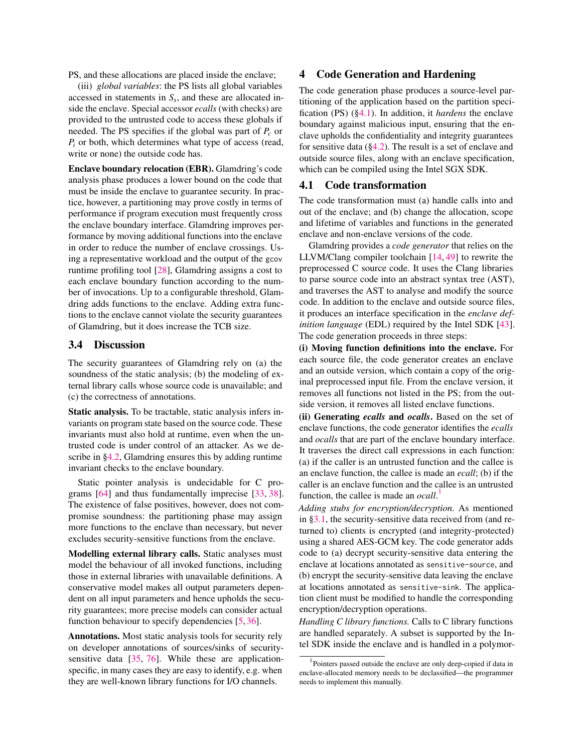PS, and these allocations are placed inside the enclave;

<span id="page-5-3"></span>(iii) *global variables*: the PS lists all global variables accessed in statements in *S<sup>s</sup>* , and these are allocated inside the enclave. Special accessor *ecalls* (with checks) are provided to the untrusted code to access these globals if needed. The PS specifies if the global was part of *P<sup>c</sup>* or *P<sup>i</sup>* or both, which determines what type of access (read, write or none) the outside code has.

Enclave boundary relocation (EBR). Glamdring's code analysis phase produces a lower bound on the code that must be inside the enclave to guarantee security. In practice, however, a partitioning may prove costly in terms of performance if program execution must frequently cross the enclave boundary interface. Glamdring improves performance by moving additional functions into the enclave in order to reduce the number of enclave crossings. Using a representative workload and the output of the gcov runtime profiling tool [\[28\]](#page-11-24), Glamdring assigns a cost to each enclave boundary function according to the number of invocations. Up to a configurable threshold, Glamdring adds functions to the enclave. Adding extra functions to the enclave cannot violate the security guarantees of Glamdring, but it does increase the TCB size.

### 3.4 Discussion

The security guarantees of Glamdring rely on (a) the soundness of the static analysis; (b) the modeling of external library calls whose source code is unavailable; and (c) the correctness of annotations.

Static analysis. To be tractable, static analysis infers invariants on program state based on the source code. These invariants must also hold at runtime, even when the untrusted code is under control of an attacker. As we de-scribe in [§4.2,](#page-6-0) Glamdring ensures this by adding runtime invariant checks to the enclave boundary.

Static pointer analysis is undecidable for C programs [\[64\]](#page-12-24) and thus fundamentally imprecise [\[33,](#page-11-25) [38\]](#page-11-26). The existence of false positives, however, does not compromise soundness: the partitioning phase may assign more functions to the enclave than necessary, but never excludes security-sensitive functions from the enclave.

Modelling external library calls. Static analyses must model the behaviour of all invoked functions, including those in external libraries with unavailable definitions. A conservative model makes all output parameters dependent on all input parameters and hence upholds the security guarantees; more precise models can consider actual function behaviour to specify dependencies [\[5,](#page-11-27) [36\]](#page-11-28).

Annotations. Most static analysis tools for security rely on developer annotations of sources/sinks of securitysensitive data [\[35,](#page-11-29) [76\]](#page-12-25). While these are applicationspecific, in many cases they are easy to identify, e.g. when they are well-known library functions for I/O channels.

#### <span id="page-5-0"></span>4 Code Generation and Hardening

The code generation phase produces a source-level partitioning of the application based on the partition specification (PS) ([§4.1\)](#page-5-1). In addition, it *hardens* the enclave boundary against malicious input, ensuring that the enclave upholds the confidentiality and integrity guarantees for sensitive data  $(\S 4.2)$ . The result is a set of enclave and outside source files, along with an enclave specification, which can be compiled using the Intel SGX SDK.

### <span id="page-5-1"></span>4.1 Code transformation

The code transformation must (a) handle calls into and out of the enclave; and (b) change the allocation, scope and lifetime of variables and functions in the generated enclave and non-enclave versions of the code.

Glamdring provides a *code generator* that relies on the LLVM/Clang compiler toolchain [\[14,](#page-11-8) [49\]](#page-12-13) to rewrite the preprocessed C source code. It uses the Clang libraries to parse source code into an abstract syntax tree (AST), and traverses the AST to analyse and modify the source code. In addition to the enclave and outside source files, it produces an interface specification in the *enclave definition language* (EDL) required by the Intel SDK [\[43\]](#page-12-19). The code generation proceeds in three steps:

(i) Moving function definitions into the enclave. For each source file, the code generator creates an enclave and an outside version, which contain a copy of the original preprocessed input file. From the enclave version, it removes all functions not listed in the PS; from the outside version, it removes all listed enclave functions.

(ii) Generating *ecalls* and *ocalls*. Based on the set of enclave functions, the code generator identifies the *ecalls* and *ocalls* that are part of the enclave boundary interface. It traverses the direct call expressions in each function: (a) if the caller is an untrusted function and the callee is an enclave function, the callee is made an *ecall*; (b) if the caller is an enclave function and the callee is an untrusted function, the callee is made an *ocall*. [1](#page-5-2)

*Adding stubs for encryption/decryption.* As mentioned in [§3.1,](#page-4-0) the security-sensitive data received from (and returned to) clients is encrypted (and integrity-protected) using a shared AES-GCM key. The code generator adds code to (a) decrypt security-sensitive data entering the enclave at locations annotated as sensitive-source, and (b) encrypt the security-sensitive data leaving the enclave at locations annotated as sensitive-sink. The application client must be modified to handle the corresponding encryption/decryption operations.

*Handling C library functions.* Calls to C library functions are handled separately. A subset is supported by the Intel SDK inside the enclave and is handled in a polymor-

<span id="page-5-2"></span><sup>&</sup>lt;sup>1</sup>Pointers passed outside the enclave are only deep-copied if data in enclave-allocated memory needs to be declassified—the programmer needs to implement this manually.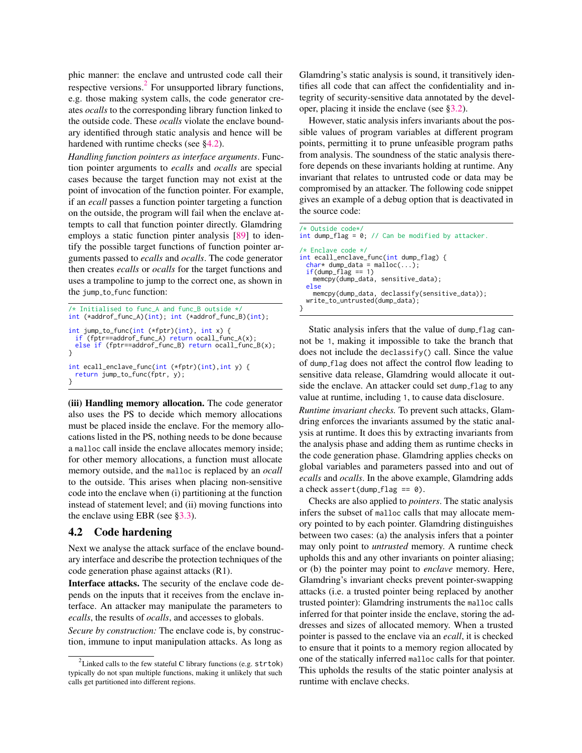phic manner: the enclave and untrusted code call their respective versions.<sup>[2](#page-6-1)</sup> For unsupported library functions, e.g. those making system calls, the code generator creates *ocalls* to the corresponding library function linked to the outside code. These *ocalls* violate the enclave boundary identified through static analysis and hence will be hardened with runtime checks (see [§4.2\)](#page-6-0).

*Handling function pointers as interface arguments*. Function pointer arguments to *ecalls* and *ocalls* are special cases because the target function may not exist at the point of invocation of the function pointer. For example, if an *ecall* passes a function pointer targeting a function on the outside, the program will fail when the enclave attempts to call that function pointer directly. Glamdring employs a static function pinter analysis [\[89\]](#page-13-5) to identify the possible target functions of function pointer arguments passed to *ecalls* and *ocalls*. The code generator then creates *ecalls* or *ocalls* for the target functions and uses a trampoline to jump to the correct one, as shown in the jump\_to\_func function:

```
/* Initialised to func_A and func_B outside */
int (*addrof_func_A)(int); int (*addrof_func_B)(int);
int jump_to_func(int (*fptr)(int), int x) {
 if (fptr==addrof_func_A) return ocall_func_A(x);
 else if (fptr==addrof_func_B) return ocall_func_B(x);
}
int ecall_enclave_func(int (*fptr)(int),int y) {
 return jump_to_func(fptr, y);
}
```
(iii) Handling memory allocation. The code generator also uses the PS to decide which memory allocations must be placed inside the enclave. For the memory allocations listed in the PS, nothing needs to be done because a malloc call inside the enclave allocates memory inside; for other memory allocations, a function must allocate memory outside, and the malloc is replaced by an *ocall* to the outside. This arises when placing non-sensitive code into the enclave when (i) partitioning at the function instead of statement level; and (ii) moving functions into the enclave using EBR (see [§3.3\)](#page-5-3).

#### <span id="page-6-0"></span>4.2 Code hardening

Next we analyse the attack surface of the enclave boundary interface and describe the protection techniques of the code generation phase against attacks (R1).

Interface attacks. The security of the enclave code depends on the inputs that it receives from the enclave interface. An attacker may manipulate the parameters to *ecalls*, the results of *ocalls*, and accesses to globals.

*Secure by construction:* The enclave code is, by construction, immune to input manipulation attacks. As long as

Glamdring's static analysis is sound, it transitively identifies all code that can affect the confidentiality and integrity of security-sensitive data annotated by the developer, placing it inside the enclave (see [§3.2\)](#page-4-1).

However, static analysis infers invariants about the possible values of program variables at different program points, permitting it to prune unfeasible program paths from analysis. The soundness of the static analysis therefore depends on these invariants holding at runtime. Any invariant that relates to untrusted code or data may be compromised by an attacker. The following code snippet gives an example of a debug option that is deactivated in the source code:

| /* Outside code*/<br>int dump_flag = $0$ ; // Can be modified by attacker. |
|----------------------------------------------------------------------------|
| $/*$ Enclave code $*/$                                                     |
| $int$ ecall_enclave_func( $int$ dump_flag) {                               |
| $char*$ dump_data = malloc();                                              |
| $if(dump_flag == 1)$                                                       |
| memcpy(dump_data, sensitive_data);                                         |
| else                                                                       |
| memcpy(dump_data, declassify(sensitive_data));                             |
| write_to_untrusted(dump_data);                                             |
|                                                                            |

Static analysis infers that the value of dump\_flag cannot be 1, making it impossible to take the branch that does not include the declassify() call. Since the value of dump flag does not affect the control flow leading to sensitive data release, Glamdring would allocate it outside the enclave. An attacker could set dump\_flag to any value at runtime, including 1, to cause data disclosure.

*Runtime invariant checks.* To prevent such attacks, Glamdring enforces the invariants assumed by the static analysis at runtime. It does this by extracting invariants from the analysis phase and adding them as runtime checks in the code generation phase. Glamdring applies checks on global variables and parameters passed into and out of *ecalls* and *ocalls*. In the above example, Glamdring adds a check assert(dump\_flag ==  $\theta$ ).

Checks are also applied to *pointers*. The static analysis infers the subset of malloc calls that may allocate memory pointed to by each pointer. Glamdring distinguishes between two cases: (a) the analysis infers that a pointer may only point to *untrusted* memory. A runtime check upholds this and any other invariants on pointer aliasing; or (b) the pointer may point to *enclave* memory. Here, Glamdring's invariant checks prevent pointer-swapping attacks (i.e. a trusted pointer being replaced by another trusted pointer): Glamdring instruments the malloc calls inferred for that pointer inside the enclave, storing the addresses and sizes of allocated memory. When a trusted pointer is passed to the enclave via an *ecall*, it is checked to ensure that it points to a memory region allocated by one of the statically inferred malloc calls for that pointer. This upholds the results of the static pointer analysis at runtime with enclave checks.

<span id="page-6-1"></span><sup>&</sup>lt;sup>2</sup> Linked calls to the few stateful C library functions (e.g.  $\text{strtok}$ ) typically do not span multiple functions, making it unlikely that such calls get partitioned into different regions.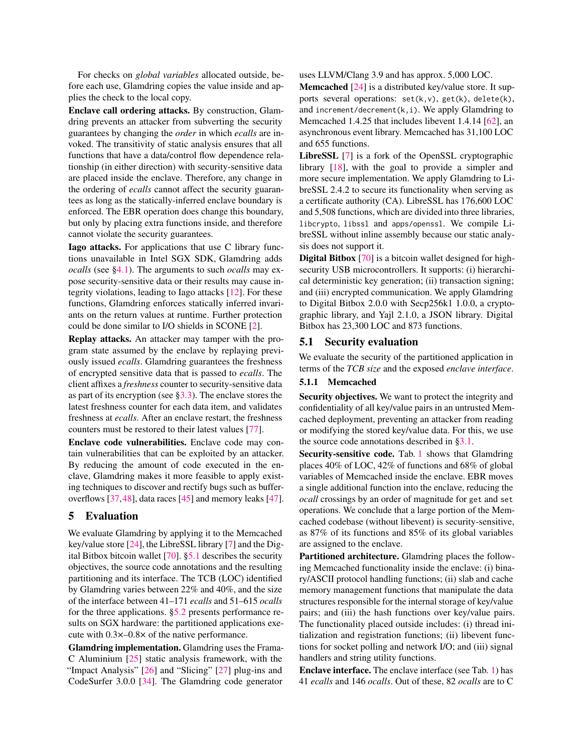For checks on *global variables* allocated outside, before each use, Glamdring copies the value inside and applies the check to the local copy.

Enclave call ordering attacks. By construction, Glamdring prevents an attacker from subverting the security guarantees by changing the *order* in which *ecalls* are invoked. The transitivity of static analysis ensures that all functions that have a data/control flow dependence relationship (in either direction) with security-sensitive data are placed inside the enclave. Therefore, any change in the ordering of *ecalls* cannot affect the security guarantees as long as the statically-inferred enclave boundary is enforced. The EBR operation does change this boundary, but only by placing extra functions inside, and therefore cannot violate the security guarantees.

Iago attacks. For applications that use C library functions unavailable in Intel SGX SDK, Glamdring adds *ocalls* (see [§4.1\)](#page-5-1). The arguments to such *ocalls* may expose security-sensitive data or their results may cause integrity violations, leading to Iago attacks [\[12\]](#page-11-19). For these functions, Glamdring enforces statically inferred invariants on the return values at runtime. Further protection could be done similar to I/O shields in SCONE [\[2\]](#page-11-5).

Replay attacks. An attacker may tamper with the program state assumed by the enclave by replaying previously issued *ecalls*. Glamdring guarantees the freshness of encrypted sensitive data that is passed to *ecalls*. The client affixes a *freshness* counter to security-sensitive data as part of its encryption (see  $\S 3.3$ ). The enclave stores the latest freshness counter for each data item, and validates freshness at *ecalls*. After an enclave restart, the freshness counters must be restored to their latest values [\[77\]](#page-12-26).

Enclave code vulnerabilities. Enclave code may contain vulnerabilities that can be exploited by an attacker. By reducing the amount of code executed in the enclave, Glamdring makes it more feasible to apply existing techniques to discover and rectify bugs such as bufferoverflows [\[37,](#page-11-30)[48\]](#page-12-27), data races [\[45\]](#page-12-28) and memory leaks [\[47\]](#page-12-29).

### 5 Evaluation

We evaluate Glamdring by applying it to the Memcached key/value store [\[24\]](#page-11-9), the LibreSSL library [\[7\]](#page-11-10) and the Digital Bitbox bitcoin wallet [\[70\]](#page-12-14). [§5.1](#page-7-0) describes the security objectives, the source code annotations and the resulting partitioning and its interface. The TCB (LOC) identified by Glamdring varies between 22% and 40%, and the size of the interface between 41–171 *ecalls* and 51–615 *ocalls* for the three applications. [§5.2](#page-9-0) presents performance results on SGX hardware: the partitioned applications execute with 0.3×–0.8× of the native performance.

Glamdring implementation. Glamdring uses the Frama-C Aluminium [\[25\]](#page-11-31) static analysis framework, with the "Impact Analysis" [\[26\]](#page-11-32) and "Slicing" [\[27\]](#page-11-33) plug-ins and CodeSurfer 3.0.0 [\[34\]](#page-11-34). The Glamdring code generator

uses LLVM/Clang 3.9 and has approx. 5,000 LOC.

Memcached [\[24\]](#page-11-9) is a distributed key/value store. It supports several operations: set(k,v), get(k), delete(k), and increment/decrement $(k, i)$ . We apply Glamdring to Memcached 1.4.25 that includes libevent 1.4.14 [\[62\]](#page-12-30), an asynchronous event library. Memcached has 31,100 LOC and 655 functions.

LibreSSL [\[7\]](#page-11-10) is a fork of the OpenSSL cryptographic library [\[18\]](#page-11-35), with the goal to provide a simpler and more secure implementation. We apply Glamdring to LibreSSL 2.4.2 to secure its functionality when serving as a certificate authority (CA). LibreSSL has 176,600 LOC and 5,508 functions, which are divided into three libraries, libcrypto, libssl and apps/openssl. We compile LibreSSL without inline assembly because our static analysis does not support it.

Digital Bitbox [\[70\]](#page-12-14) is a bitcoin wallet designed for highsecurity USB microcontrollers. It supports: (i) hierarchical deterministic key generation; (ii) transaction signing; and (iii) encrypted communication. We apply Glamdring to Digital Bitbox 2.0.0 with Secp256k1 1.0.0, a cryptographic library, and Yajl 2.1.0, a JSON library. Digital Bitbox has 23,300 LOC and 873 functions.

#### <span id="page-7-0"></span>5.1 Security evaluation

We evaluate the security of the partitioned application in terms of the *TCB size* and the exposed *enclave interface*.

### 5.1.1 Memcached

Security objectives. We want to protect the integrity and confidentiality of all key/value pairs in an untrusted Memcached deployment, preventing an attacker from reading or modifying the stored key/value data. For this, we use the source code annotations described in [§3.1.](#page-4-0)

Security-sensitive code. Tab. [1](#page-8-0) shows that Glamdring places 40% of LOC, 42% of functions and 68% of global variables of Memcached inside the enclave. EBR moves a single additional function into the enclave, reducing the *ocall* crossings by an order of magnitude for get and set operations. We conclude that a large portion of the Memcached codebase (without libevent) is security-sensitive, as 87% of its functions and 85% of its global variables are assigned to the enclave.

Partitioned architecture. Glamdring places the following Memcached functionality inside the enclave: (i) binary/ASCII protocol handling functions; (ii) slab and cache memory management functions that manipulate the data structures responsible for the internal storage of key/value pairs; and (iii) the hash functions over key/value pairs. The functionality placed outside includes: (i) thread initialization and registration functions; (ii) libevent functions for socket polling and network I/O; and (iii) signal handlers and string utility functions.

Enclave interface. The enclave interface (see Tab. [1\)](#page-8-0) has 41 *ecalls* and 146 *ocalls*. Out of these, 82 *ocalls* are to C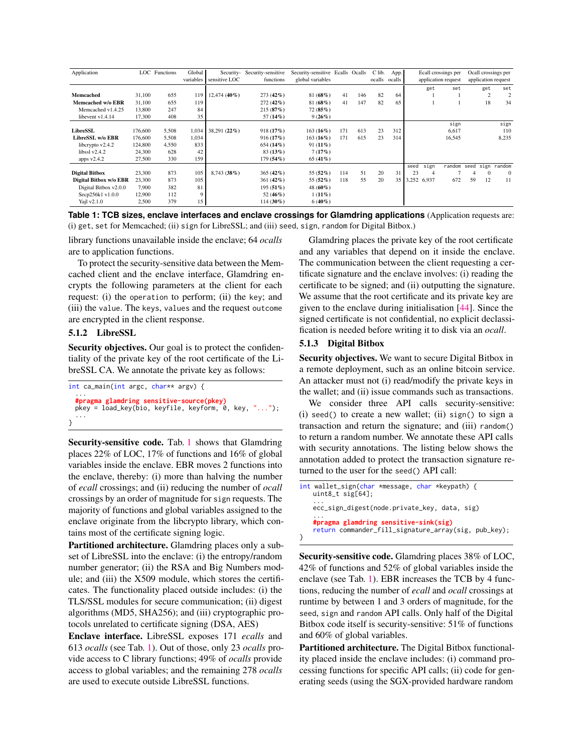<span id="page-8-0"></span>

| Application            | LOC     | Functions | Global<br>variables | Security-<br>sensitive LOC | Security-sensitive<br>functions | Security-sensitive Ecalls<br>global variables |     | Ocalls | C lib.<br>ocalls | App.<br>ocalls |       |       | Ecall crossings per<br>application request |      | Ocall crossings per<br>application request |                |
|------------------------|---------|-----------|---------------------|----------------------------|---------------------------------|-----------------------------------------------|-----|--------|------------------|----------------|-------|-------|--------------------------------------------|------|--------------------------------------------|----------------|
|                        |         |           |                     |                            |                                 |                                               |     |        |                  |                |       | get   | set                                        |      | get                                        | set            |
| Memcached              | 31.100  | 655       | 119                 | $12,474(40\%)$             | $273(42\%)$                     | 81(68%)                                       | 41  | 146    | 82               | 64             |       |       |                                            |      | $\overline{2}$                             | $\overline{2}$ |
| Memcached w/o EBR      | 31.100  | 655       | 119                 |                            | $272(42\%)$                     | 81(68%)                                       | 41  | 147    | 82               | 65             |       |       |                                            |      | 18                                         | 34             |
| Memcached v1.4.25      | 13,800  | 247       | 84                  |                            | 215(87%)                        | 72(85%)                                       |     |        |                  |                |       |       |                                            |      |                                            |                |
| libevent v1.4.14       | 17.300  | 408       | 35                  |                            | 57 (14%)                        | 9(26%)                                        |     |        |                  |                |       |       |                                            |      |                                            |                |
|                        |         |           |                     |                            |                                 |                                               |     |        |                  |                |       |       | sign                                       |      |                                            | sign           |
| <b>LibreSSL</b>        | 176,600 | 5,508     | 1,034               | 38,291 (22%)               | 918(17%)                        | $163(16\%)$                                   | 171 | 613    | 23               | 312            |       |       | 6,617                                      |      |                                            | 110            |
| LibreSSL w/o EBR       | 176,600 | 5.508     | 1.034               |                            | 916(17%)                        | $163(16\%)$                                   | 171 | 615    | 23               | 314            |       |       | 16,545                                     |      |                                            | 8,235          |
| liberypto v2.4.2       | 124,800 | 4.550     | 833                 |                            | $654(14\%)$                     | $91(11\%)$                                    |     |        |                  |                |       |       |                                            |      |                                            |                |
| libssl $v2.4.2$        | 24,300  | 628       | 42                  |                            | 83(13%)                         | 7(17%)                                        |     |        |                  |                |       |       |                                            |      |                                            |                |
| apps v2.4.2            | 27,500  | 330       | 159                 |                            | $179(54\%)$                     | $65(41\%)$                                    |     |        |                  |                |       |       |                                            |      |                                            |                |
|                        |         |           |                     |                            |                                 |                                               |     |        |                  |                | seed  | sign  | random                                     | seed |                                            | sign random    |
| <b>Digital Bitbox</b>  | 23,300  | 873       | 105                 | $8.743(38\%)$              | $365(42\%)$                     | 55 $(52\%)$                                   | 114 | 51     | 20               | 31             | 23    |       |                                            |      | $\Omega$                                   | $\Omega$       |
| Digital Bitbox w/o EBR | 23,300  | 873       | 105                 |                            | 361 $(42\%)$                    | 55 (52%)                                      | 118 | 55     | 20               | 35             | 3,252 | 6.937 | 672                                        | 59   | 12                                         | 11             |
| Digital Bitbox v2.0.0  | 7.900   | 382       | 81                  |                            | $195(51\%)$                     | 48 (60%)                                      |     |        |                  |                |       |       |                                            |      |                                            |                |
| Secp256k1 v1.0.0       | 12,900  | 112       | 9                   |                            | 52 $(46\%)$                     | $1(11\%)$                                     |     |        |                  |                |       |       |                                            |      |                                            |                |
| Yajl v2.1.0            | 2,500   | 379       | 15                  |                            | $114(30\%)$                     | $6(40\%)$                                     |     |        |                  |                |       |       |                                            |      |                                            |                |

**Table 1: TCB sizes, enclave interfaces and enclave crossings for Glamdring applications** (Application requests are: (i) get, set for Memcached; (ii) sign for LibreSSL; and (iii) seed, sign, random for Digital Bitbox.)

library functions unavailable inside the enclave; 64 *ocalls* are to application functions.

To protect the security-sensitive data between the Memcached client and the enclave interface, Glamdring encrypts the following parameters at the client for each request: (i) the operation to perform; (ii) the key; and (iii) the value. The keys, values and the request outcome are encrypted in the client response.

#### 5.1.2 LibreSSL

Security objectives. Our goal is to protect the confidentiality of the private key of the root certificate of the LibreSSL CA. We annotate the private key as follows:

int ca\_main(int argc, char\*\* argv) { ... **#pragma glamdring sensitive-source(pkey)** pkey = load\_key(bio, keyfile, keyform, 0, key, "..."); ... }

Security-sensitive code. Tab. [1](#page-8-0) shows that Glamdring places 22% of LOC, 17% of functions and 16% of global variables inside the enclave. EBR moves 2 functions into the enclave, thereby: (i) more than halving the number of *ecall* crossings; and (ii) reducing the number of *ocall* crossings by an order of magnitude for sign requests. The majority of functions and global variables assigned to the enclave originate from the libcrypto library, which contains most of the certificate signing logic.

Partitioned architecture. Glamdring places only a subset of LibreSSL into the enclave: (i) the entropy/random number generator; (ii) the RSA and Big Numbers module; and (iii) the X509 module, which stores the certificates. The functionality placed outside includes: (i) the TLS/SSL modules for secure communication; (ii) digest algorithms (MD5, SHA256); and (iii) cryptographic protocols unrelated to certificate signing (DSA, AES)

Enclave interface. LibreSSL exposes 171 *ecalls* and 613 *ocalls* (see Tab. [1\)](#page-8-0). Out of those, only 23 *ocalls* provide access to C library functions; 49% of *ocalls* provide access to global variables; and the remaining 278 *ocalls* are used to execute outside LibreSSL functions.

Glamdring places the private key of the root certificate and any variables that depend on it inside the enclave. The communication between the client requesting a certificate signature and the enclave involves: (i) reading the certificate to be signed; and (ii) outputting the signature. We assume that the root certificate and its private key are given to the enclave during initialisation [\[44\]](#page-12-31). Since the signed certificate is not confidential, no explicit declassification is needed before writing it to disk via an *ocall*.

### 5.1.3 Digital Bitbox

Security objectives. We want to secure Digital Bitbox in a remote deployment, such as an online bitcoin service. An attacker must not (i) read/modify the private keys in the wallet; and (ii) issue commands such as transactions.

We consider three API calls security-sensitive: (i) seed() to create a new wallet; (ii) sign() to sign a transaction and return the signature; and (iii) random() to return a random number. We annotate these API calls with security annotations. The listing below shows the annotation added to protect the transaction signature returned to the user for the seed() API call:

```
int wallet_sign(char *message, char *keypath) {
   uint8_t sig[64];
    ...
   ecc_sign_digest(node.private_key, data, sig)
    ...
#pragma glamdring sensitive-sink(sig)
   return commander_fill_signature_array(sig, pub_key);
}
```
Security-sensitive code. Glamdring places 38% of LOC, 42% of functions and 52% of global variables inside the enclave (see Tab. [1\)](#page-8-0). EBR increases the TCB by 4 functions, reducing the number of *ecall* and *ocall* crossings at runtime by between 1 and 3 orders of magnitude, for the seed, sign and random API calls. Only half of the Digital Bitbox code itself is security-sensitive: 51% of functions and 60% of global variables.

Partitioned architecture. The Digital Bitbox functionality placed inside the enclave includes: (i) command processing functions for specific API calls; (ii) code for generating seeds (using the SGX-provided hardware random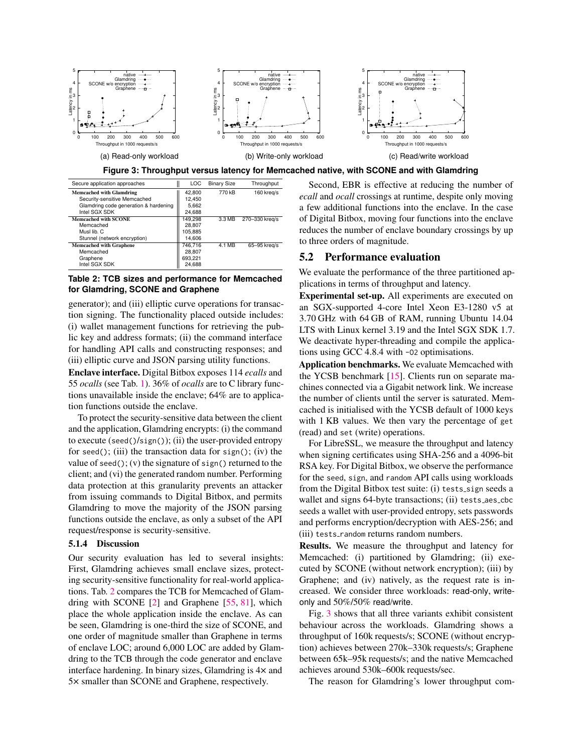<span id="page-9-2"></span>

**Figure 3: Throughput versus latency for Memcached native, with SCONE and with Glamdring**

<span id="page-9-1"></span>

| Secure application approaches         | LOC     | <b>Binary Size</b> | Throughput     |
|---------------------------------------|---------|--------------------|----------------|
| <b>Memcached with Glamdring</b>       | 42.800  | 770 kB             | 160 kreg/s     |
| Security-sensitive Memcached          | 12.450  |                    |                |
| Glamdring code generation & hardening | 5.662   |                    |                |
| Intel SGX SDK                         | 24,688  |                    |                |
| Memcached with SCONE                  | 149.298 | 3.3 MB             | 270-330 kreg/s |
| Memcached                             | 28.807  |                    |                |
| Musl lib. C                           | 105,885 |                    |                |
| Stunnel (network encryption)          | 14.606  |                    |                |
| <b>Memcached with Graphene</b>        | 746.716 | $4.1 \text{ MB}$   | 65-95 kreg/s   |
| Memcached                             | 28,807  |                    |                |
| Graphene                              | 693.221 |                    |                |
| Intel SGX SDK                         | 24.688  |                    |                |

#### **Table 2: TCB sizes and performance for Memcached for Glamdring, SCONE and Graphene**

generator); and (iii) elliptic curve operations for transaction signing. The functionality placed outside includes: (i) wallet management functions for retrieving the public key and address formats; (ii) the command interface for handling API calls and constructing responses; and (iii) elliptic curve and JSON parsing utility functions.

Enclave interface. Digital Bitbox exposes 114 *ecalls* and 55 *ocalls* (see Tab. [1\)](#page-8-0). 36% of *ocalls* are to C library functions unavailable inside the enclave; 64% are to application functions outside the enclave.

To protect the security-sensitive data between the client and the application, Glamdring encrypts: (i) the command to execute (seed()/sign()); (ii) the user-provided entropy for seed(); (iii) the transaction data for sign(); (iv) the value of seed(); (v) the signature of sign() returned to the client; and (vi) the generated random number. Performing data protection at this granularity prevents an attacker from issuing commands to Digital Bitbox, and permits Glamdring to move the majority of the JSON parsing functions outside the enclave, as only a subset of the API request/response is security-sensitive.

#### 5.1.4 Discussion

Our security evaluation has led to several insights: First, Glamdring achieves small enclave sizes, protecting security-sensitive functionality for real-world applications. Tab. [2](#page-9-1) compares the TCB for Memcached of Glamdring with SCONE [\[2\]](#page-11-5) and Graphene [\[55,](#page-12-3) [81\]](#page-13-1), which place the whole application inside the enclave. As can be seen, Glamdring is one-third the size of SCONE, and one order of magnitude smaller than Graphene in terms of enclave LOC; around 6,000 LOC are added by Glamdring to the TCB through the code generator and enclave interface hardening. In binary sizes, Glamdring is 4× and 5× smaller than SCONE and Graphene, respectively.

Second, EBR is effective at reducing the number of *ecall* and *ocall* crossings at runtime, despite only moving a few additional functions into the enclave. In the case of Digital Bitbox, moving four functions into the enclave reduces the number of enclave boundary crossings by up to three orders of magnitude.

### <span id="page-9-0"></span>5.2 Performance evaluation

We evaluate the performance of the three partitioned applications in terms of throughput and latency.

Experimental set-up. All experiments are executed on an SGX-supported 4-core Intel Xeon E3-1280 v5 at 3.70 GHz with 64 GB of RAM, running Ubuntu 14.04 LTS with Linux kernel 3.19 and the Intel SGX SDK 1.7. We deactivate hyper-threading and compile the applications using GCC 4.8.4 with -O2 optimisations.

Application benchmarks. We evaluate Memcached with the YCSB benchmark [\[15\]](#page-11-36). Clients run on separate machines connected via a Gigabit network link. We increase the number of clients until the server is saturated. Memcached is initialised with the YCSB default of 1000 keys with 1 KB values. We then vary the percentage of get (read) and set (write) operations.

For LibreSSL, we measure the throughput and latency when signing certificates using SHA-256 and a 4096-bit RSA key. For Digital Bitbox, we observe the performance for the seed, sign, and random API calls using workloads from the Digital Bitbox test suite: (i) tests\_sign seeds a wallet and signs 64-byte transactions; (ii) tests\_aes\_cbc seeds a wallet with user-provided entropy, sets passwords and performs encryption/decryption with AES-256; and (iii) tests\_random returns random numbers.

Results. We measure the throughput and latency for Memcached: (i) partitioned by Glamdring; (ii) executed by SCONE (without network encryption); (iii) by Graphene; and (iv) natively, as the request rate is increased. We consider three workloads: read-only, writeonly and 50%/50% read/write.

Fig. [3](#page-9-2) shows that all three variants exhibit consistent behaviour across the workloads. Glamdring shows a throughput of 160k requests/s; SCONE (without encryption) achieves between 270k–330k requests/s; Graphene between 65k–95k requests/s; and the native Memcached achieves around 530k–600k requests/sec.

The reason for Glamdring's lower throughput com-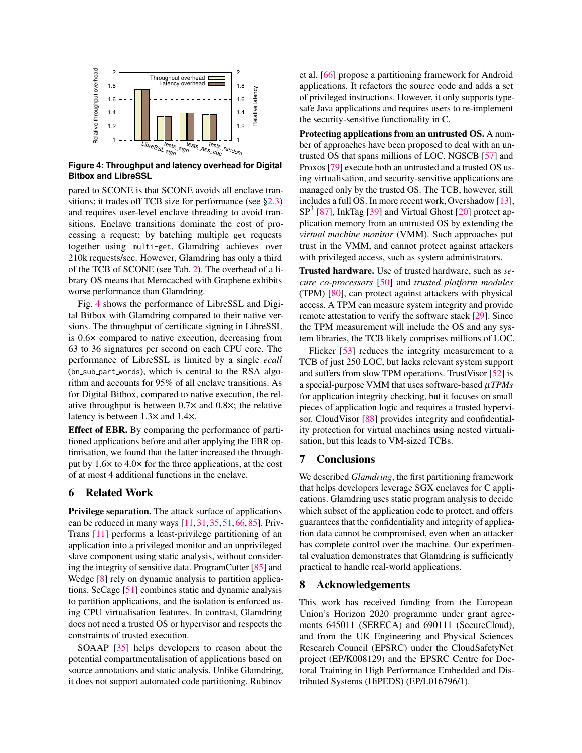<span id="page-10-0"></span>

**Figure 4: Throughput and latency overhead for Digital Bitbox and LibreSSL**

pared to SCONE is that SCONE avoids all enclave transitions; it trades off TCB size for performance (see [§2.3\)](#page-2-1) and requires user-level enclave threading to avoid transitions. Enclave transitions dominate the cost of processing a request; by batching multiple get requests together using multi-get, Glamdring achieves over 210k requests/sec. However, Glamdring has only a third of the TCB of SCONE (see Tab. [2\)](#page-9-1). The overhead of a library OS means that Memcached with Graphene exhibits worse performance than Glamdring.

Fig. [4](#page-10-0) shows the performance of LibreSSL and Digital Bitbox with Glamdring compared to their native versions. The throughput of certificate signing in LibreSSL is 0.6× compared to native execution, decreasing from 63 to 36 signatures per second on each CPU core. The performance of LibreSSL is limited by a single *ecall* (bn\_sub\_part\_words), which is central to the RSA algorithm and accounts for 95% of all enclave transitions. As for Digital Bitbox, compared to native execution, the relative throughput is between 0.7× and 0.8×; the relative latency is between 1.3× and 1.4×.

Effect of EBR. By comparing the performance of partitioned applications before and after applying the EBR optimisation, we found that the latter increased the throughput by 1.6× to 4.0× for the three applications, at the cost of at most 4 additional functions in the enclave.

### 6 Related Work

Privilege separation. The attack surface of applications can be reduced in many ways [\[11,](#page-11-6)[31,](#page-11-37)[35,](#page-11-29)[51,](#page-12-32)[66,](#page-12-33)[85\]](#page-13-6). Priv-Trans [\[11\]](#page-11-6) performs a least-privilege partitioning of an application into a privileged monitor and an unprivileged slave component using static analysis, without considering the integrity of sensitive data. ProgramCutter [\[85\]](#page-13-6) and Wedge [\[8\]](#page-11-38) rely on dynamic analysis to partition applications. SeCage [\[51\]](#page-12-32) combines static and dynamic analysis to partition applications, and the isolation is enforced using CPU virtualisation features. In contrast, Glamdring does not need a trusted OS or hypervisor and respects the constraints of trusted execution.

SOAAP [\[35\]](#page-11-29) helps developers to reason about the potential compartmentalisation of applications based on source annotations and static analysis. Unlike Glamdring, it does not support automated code partitioning. Rubinov et al. [\[66\]](#page-12-33) propose a partitioning framework for Android applications. It refactors the source code and adds a set of privileged instructions. However, it only supports typesafe Java applications and requires users to re-implement the security-sensitive functionality in C.

Protecting applications from an untrusted OS. A number of approaches have been proposed to deal with an untrusted OS that spans millions of LOC. NGSCB [\[57\]](#page-12-34) and Proxos [\[79\]](#page-12-35) execute both an untrusted and a trusted OS using virtualisation, and security-sensitive applications are managed only by the trusted OS. The TCB, however, still includes a full OS. In more recent work, Overshadow [\[13\]](#page-11-13), SP<sup>3</sup> [\[87\]](#page-13-7), InkTag [\[39\]](#page-11-15) and Virtual Ghost [\[20\]](#page-11-14) protect application memory from an untrusted OS by extending the *virtual machine monitor* (VMM). Such approaches put trust in the VMM, and cannot protect against attackers with privileged access, such as system administrators.

Trusted hardware. Use of trusted hardware, such as *secure co-processors* [\[50\]](#page-12-36) and *trusted platform modules* (TPM) [\[80\]](#page-12-37), can protect against attackers with physical access. A TPM can measure system integrity and provide remote attestation to verify the software stack [\[29\]](#page-11-39). Since the TPM measurement will include the OS and any system libraries, the TCB likely comprises millions of LOC.

Flicker [\[53\]](#page-12-38) reduces the integrity measurement to a TCB of just 250 LOC, but lacks relevant system support and suffers from slow TPM operations. TrustVisor [\[52\]](#page-12-39) is a special-purpose VMM that uses software-based µ*TPMs* for application integrity checking, but it focuses on small pieces of application logic and requires a trusted hypervisor. CloudVisor [\[88\]](#page-13-8) provides integrity and confidentiality protection for virtual machines using nested virtualisation, but this leads to VM-sized TCBs.

### 7 Conclusions

We described *Glamdring*, the first partitioning framework that helps developers leverage SGX enclaves for C applications. Glamdring uses static program analysis to decide which subset of the application code to protect, and offers guarantees that the confidentiality and integrity of application data cannot be compromised, even when an attacker has complete control over the machine. Our experimental evaluation demonstrates that Glamdring is sufficiently practical to handle real-world applications.

### 8 Acknowledgements

This work has received funding from the European Union's Horizon 2020 programme under grant agreements 645011 (SERECA) and 690111 (SecureCloud), and from the UK Engineering and Physical Sciences Research Council (EPSRC) under the CloudSafetyNet project (EP/K008129) and the EPSRC Centre for Doctoral Training in High Performance Embedded and Distributed Systems (HiPEDS) (EP/L016796/1).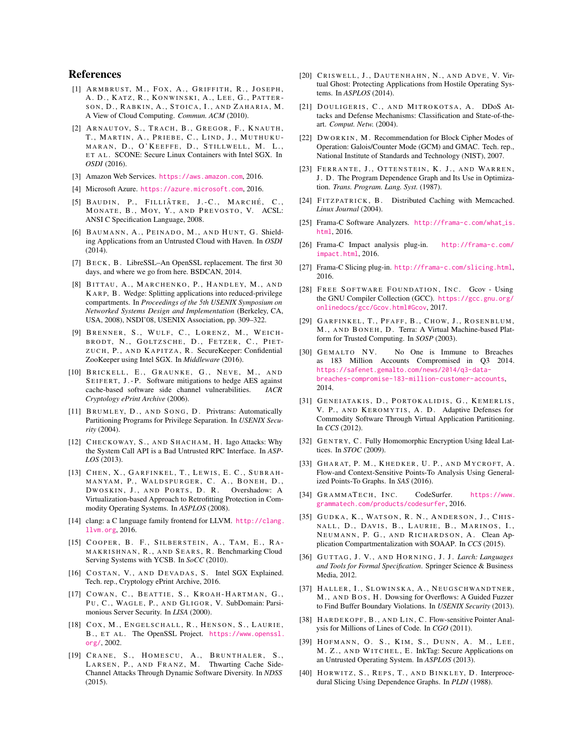#### References

- <span id="page-11-2"></span>[1] ARMBRUST, M., FOX, A., GRIFFITH, R., JOSEPH, A. D., KATZ, R., KONWINSKI, A., LEE, G., PATTER-SON, D., RABKIN, A., STOICA, I., AND ZAHARIA, M. A View of Cloud Computing. *Commun. ACM* (2010).
- <span id="page-11-5"></span>[2] ARNAUTOV, S., TRACH, B., GREGOR, F., KNAUTH, T., MARTIN, A., PRIEBE, C., LIND, J., MUTHUKU-MARAN, D., O'KEEFFE, D., STILLWELL, M. L., ET AL. SCONE: Secure Linux Containers with Intel SGX. In *OSDI* (2016).
- <span id="page-11-0"></span>[3] Amazon Web Services. <https://aws.amazon.com>, 2016.
- <span id="page-11-1"></span>[4] Microsoft Azure. <https://azure.microsoft.com>, 2016.
- <span id="page-11-27"></span>[5] BAUDIN, P., FILLIÂTRE, J.-C., MARCHÉ, C., MONATE, B., MOY, Y., AND PREVOSTO, V. ACSL: ANSI C Specification Language, 2008.
- <span id="page-11-4"></span>[6] BAUMANN, A., PEINADO, M., AND HUNT, G. Shielding Applications from an Untrusted Cloud with Haven. In *OSDI* (2014).
- <span id="page-11-10"></span>[7] BECK, B. LibreSSL-An OpenSSL replacement. The first 30 days, and where we go from here. BSDCAN, 2014.
- <span id="page-11-38"></span>[8] BITTAU, A., MARCHENKO, P., HANDLEY, M., AND K A R P, B . Wedge: Splitting applications into reduced-privilege compartments. In *Proceedings of the 5th USENIX Symposium on Networked Systems Design and Implementation* (Berkeley, CA, USA, 2008), NSDI'08, USENIX Association, pp. 309–322.
- <span id="page-11-20"></span>[9] BRENNER, S., WULF, C., LORENZ, M., WEICH-BRODT, N., GOLTZSCHE, D., FETZER, C., PIET-ZUCH, P., AND KAPITZA, R. SecureKeeper: Confidential ZooKeeper using Intel SGX. In *Middleware* (2016).
- <span id="page-11-17"></span>[10] BRICKELL, E., GRAUNKE, G., NEVE, M., AND SEIFERT, J.-P. Software mitigations to hedge AES against cache-based software side channel vulnerabilities. *IACR Cryptology ePrint Archive* (2006).
- <span id="page-11-6"></span>[11] BRUMLEY, D., AND SONG, D. Privtrans: Automatically Partitioning Programs for Privilege Separation. In *USENIX Security* (2004).
- <span id="page-11-19"></span>[12] CHECKOWAY, S., AND SHACHAM, H. Iago Attacks: Why the System Call API is a Bad Untrusted RPC Interface. In *ASP-LOS* (2013).
- <span id="page-11-13"></span>[13] CHEN, X., GARFINKEL, T., LEWIS, E. C., SUBRAH-MANYAM, P., WALDSPURGER, C. A., BONEH, D., DWOSKIN, J., AND PORTS, D. R. Overshadow: A Virtualization-based Approach to Retrofitting Protection in Commodity Operating Systems. In *ASPLOS* (2008).
- <span id="page-11-8"></span>[14] clang: a C language family frontend for LLVM. [http://clang.](http://clang.llvm.org) [llvm.org](http://clang.llvm.org), 2016.
- <span id="page-11-36"></span>[15] COOPER, B. F., SILBERSTEIN, A., TAM, E., RA-MAKRISHNAN, R., AND SEARS, R. Benchmarking Cloud Serving Systems with YCSB. In *SoCC* (2010).
- <span id="page-11-7"></span>[16] COSTAN, V., AND DEVADAS, S. Intel SGX Explained. Tech. rep., Cryptology ePrint Archive, 2016.
- <span id="page-11-12"></span>[17] COWAN, C., BEATTIE, S., KROAH-HARTMAN, G., PU, C., WAGLE, P., AND GLIGOR, V. SubDomain: Parsimonious Server Security. In *LISA* (2000).
- <span id="page-11-35"></span>[18] COX, M., ENGELSCHALL, R., HENSON, S., LAURIE, B., ET AL. The OpenSSL Project. [https://www.openssl.](https://www.openssl.org/) [org/](https://www.openssl.org/), 2002.
- <span id="page-11-18"></span>[19] CRANE, S., HOMESCU, A., BRUNTHALER, S., LARSEN, P., AND FRANZ, M. Thwarting Cache Side-Channel Attacks Through Dynamic Software Diversity. In *NDSS* (2015).
- <span id="page-11-14"></span>[20] CRISWELL, J., DAUTENHAHN, N., AND ADVE, V. Virtual Ghost: Protecting Applications from Hostile Operating Systems. In *ASPLOS* (2014).
- <span id="page-11-16"></span>[21] DOULIGERIS, C., AND MITROKOTSA, A. DDoS Attacks and Defense Mechanisms: Classification and State-of-theart. *Comput. Netw.* (2004).
- <span id="page-11-21"></span>[22] DWORKIN, M. Recommendation for Block Cipher Modes of Operation: Galois/Counter Mode (GCM) and GMAC. Tech. rep., National Institute of Standards and Technology (NIST), 2007.
- <span id="page-11-22"></span>[23] FERRANTE, J., OTTENSTEIN, K. J., AND WARREN, J. D. The Program Dependence Graph and Its Use in Optimization. *Trans. Program. Lang. Syst.* (1987).
- <span id="page-11-9"></span>[24] FITZPATRICK, B. Distributed Caching with Memcached. *Linux Journal* (2004).
- <span id="page-11-31"></span>[25] Frama-C Software Analyzers. [http://frama-c.com/what](http://frama-c.com/what_is.html) is. [html](http://frama-c.com/what_is.html), 2016.
- <span id="page-11-32"></span>[26] Frama-C Impact analysis plug-in. [http://frama-c.com/](http://frama-c.com/impact.html) [impact.html](http://frama-c.com/impact.html), 2016.
- <span id="page-11-33"></span>[27] Frama-C Slicing plug-in. <http://frama-c.com/slicing.html>, 2016.
- <span id="page-11-24"></span>[28] FREE SOFTWARE FOUNDATION, INC. Gcov - Using the GNU Compiler Collection (GCC). [https://gcc.gnu.org/](https://gcc.gnu.org/onlinedocs/gcc/Gcov.html#Gcov) [onlinedocs/gcc/Gcov.html#Gcov](https://gcc.gnu.org/onlinedocs/gcc/Gcov.html#Gcov), 2017.
- <span id="page-11-39"></span>[29] GARFINKEL, T., PFAFF, B., CHOW, J., ROSENBLUM, M., AND BONEH, D. Terra: A Virtual Machine-based Platform for Trusted Computing. In *SOSP* (2003).
- <span id="page-11-11"></span>[30] GEMALTO NV. No One is Immune to Breaches as 183 Million Accounts Compromised in Q3 2014. [https://safenet.gemalto.com/news/2014/q3-data](https://safenet.gemalto.com/news/2014/q3-data-breaches-compromise-183-million-customer-accounts)[breaches-compromise-183-million-customer-accounts](https://safenet.gemalto.com/news/2014/q3-data-breaches-compromise-183-million-customer-accounts), 2014.
- <span id="page-11-37"></span>[31] GENEIATAKIS, D., PORTOKALIDIS, G., KEMERLIS, V. P., AND KEROMYTIS, A. D. Adaptive Defenses for Commodity Software Through Virtual Application Partitioning. In *CCS* (2012).
- <span id="page-11-3"></span>[32] GENTRY, C. Fully Homomorphic Encryption Using Ideal Lattices. In *STOC* (2009).
- <span id="page-11-25"></span>[33] GHARAT, P. M., KHEDKER, U. P., AND MYCROFT, A. Flow-and Context-Sensitive Points-To Analysis Using Generalized Points-To Graphs. In *SAS* (2016).
- <span id="page-11-34"></span>[34] GRAMMATECH, INC. CodeSurfer. [https://www.](https://www.grammatech.com/products/codesurfer) [grammatech.com/products/codesurfer](https://www.grammatech.com/products/codesurfer), 2016.
- <span id="page-11-29"></span>[35] GUDKA, K., WATSON, R. N., ANDERSON, J., CHIS-NALL, D., DAVIS, B., LAURIE, B., MARINOS, I., NEUMANN, P. G., AND RICHARDSON, A. Clean Application Compartmentalization with SOAAP. In *CCS* (2015).
- <span id="page-11-28"></span>[36] GUTTAG, J. V., AND HORNING, J. J. *Larch: Languages and Tools for Formal Specification*. Springer Science & Business Media, 2012.
- <span id="page-11-30"></span>[37] HALLER, I., SLOWINSKA, A., NEUGSCHWANDTNER, M., AND BOS, H. Dowsing for Overflows: A Guided Fuzzer to Find Buffer Boundary Violations. In *USENIX Security* (2013).
- <span id="page-11-26"></span>[38] HARDEKOPF, B., AND LIN, C. Flow-sensitive Pointer Analysis for Millions of Lines of Code. In *CGO* (2011).
- <span id="page-11-15"></span>[39] HOFMANN, O. S., KIM, S., DUNN, A. M., LEE, M. Z., AND WITCHEL, E. InkTag: Secure Applications on an Untrusted Operating System. In *ASPLOS* (2013).
- <span id="page-11-23"></span>[40] HORWITZ, S., REPS, T., AND BINKLEY, D. Interprocedural Slicing Using Dependence Graphs. In *PLDI* (1988).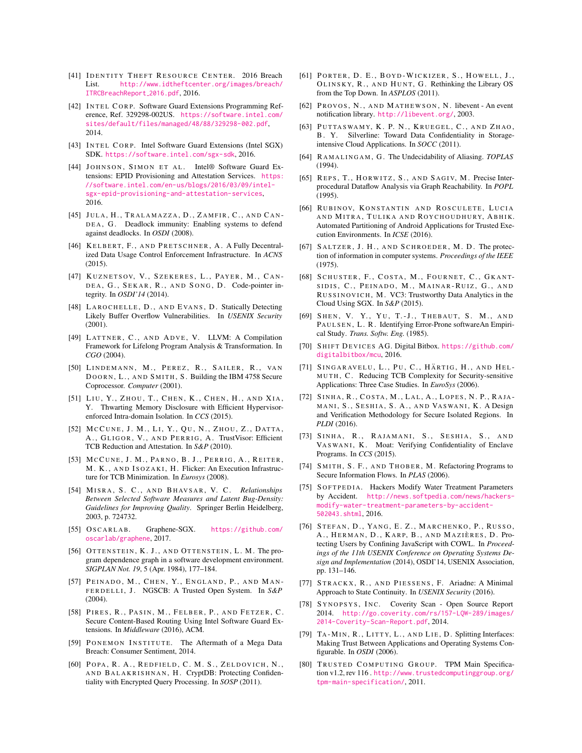- <span id="page-12-15"></span>[41] IDENTITY THEFT RESOURCE CENTER. 2016 Breach List. [http://www.idtheftcenter.org/images/breach/](http://www.idtheftcenter.org/images/breach/ITRCBreachReport_2016.pdf) [ITRCBreachReport](http://www.idtheftcenter.org/images/breach/ITRCBreachReport_2016.pdf)\_2016.pdf, 2016.
- <span id="page-12-2"></span>[42] INTEL CORP. Software Guard Extensions Programming Reference, Ref. 329298-002US. [https://software.intel.com/](https://software.intel.com/sites/default/files/managed/48/88/329298-002.pdf) [sites/default/files/managed/48/88/329298-002.pdf](https://software.intel.com/sites/default/files/managed/48/88/329298-002.pdf), 2014.
- <span id="page-12-19"></span>[43] INTEL CORP. Intel Software Guard Extensions (Intel SGX) SDK. <https://software.intel.com/sgx-sdk>, 2016.
- <span id="page-12-31"></span>[44] JOHNSON, SIMON ET AL. Intel® Software Guard Extensions: EPID Provisioning and Attestation Services. [https:](https://software.intel.com/en-us/blogs/2016/03/09/intel-sgx-epid-provisioning-and-attestation-services) [//software.intel.com/en-us/blogs/2016/03/09/intel](https://software.intel.com/en-us/blogs/2016/03/09/intel-sgx-epid-provisioning-and-attestation-services)[sgx-epid-provisioning-and-attestation-services](https://software.intel.com/en-us/blogs/2016/03/09/intel-sgx-epid-provisioning-and-attestation-services), 2016.
- <span id="page-12-28"></span>[45] JULA, H., TRALAMAZZA, D., ZAMFIR, C., AND CAN-DEA, G. Deadlock immunity: Enabling systems to defend against deadlocks. In *OSDI* (2008).
- <span id="page-12-18"></span>[46] KELBERT, F., AND PRETSCHNER, A. A Fully Decentralized Data Usage Control Enforcement Infrastructure. In *ACNS* (2015).
- <span id="page-12-29"></span>[47] KUZNETSOV, V., SZEKERES, L., PAYER, M., CAN-DEA, G., SEKAR, R., AND SONG, D. Code-pointer integrity. In *OSDI'14* (2014).
- <span id="page-12-27"></span>[48] LAROCHELLE, D., AND EVANS, D. Statically Detecting Likely Buffer Overflow Vulnerabilities. In *USENIX Security* (2001).
- <span id="page-12-13"></span>[49] LATTNER, C., AND ADVE, V. LLVM: A Compilation Framework for Lifelong Program Analysis & Transformation. In *CGO* (2004).
- <span id="page-12-36"></span>[50] LINDEMANN, M., PEREZ, R., SAILER, R., VAN DOORN, L., AND SMITH, S. Building the IBM 4758 Secure Coprocessor. *Computer* (2001).
- <span id="page-12-32"></span>[51] LIU, Y., ZHOU, T., CHEN, K., CHEN, H., AND XIA, Y. Thwarting Memory Disclosure with Efficient Hypervisorenforced Intra-domain Isolation. In *CCS* (2015).
- <span id="page-12-39"></span>[52] MCCUNE, J. M., LI, Y., QU, N., ZHOU, Z., DATTA, A., GLIGOR, V., AND PERRIG, A. TrustVisor: Efficient TCB Reduction and Attestation. In *S&P* (2010).
- <span id="page-12-38"></span>[53] MCCUNE, J. M., PARNO, B. J., PERRIG, A., REITER, M. K., AND ISOZAKI, H. Flicker: An Execution Infrastructure for TCB Minimization. In *Eurosys* (2008).
- <span id="page-12-6"></span>[54] MISRA, S. C., AND BHAVSAR, V. C. Relationships *Between Selected Software Measures and Latent Bug-Density: Guidelines for Improving Quality*. Springer Berlin Heidelberg, 2003, p. 724732.
- <span id="page-12-3"></span>[55] OSCARLAB. Graphene-SGX. [https://github.com/](https://github.com/oscarlab/graphene) [oscarlab/graphene](https://github.com/oscarlab/graphene), 2017.
- <span id="page-12-23"></span>[56] OTTENSTEIN, K. J., AND OTTENSTEIN, L. M. The program dependence graph in a software development environment. *SIGPLAN Not. 19*, 5 (Apr. 1984), 177–184.
- <span id="page-12-34"></span>[57] PEINADO, M., CHEN, Y., ENGLAND, P., AND MAN-FERDELLI, J. NGSCB: A Trusted Open System. In S&P (2004).
- <span id="page-12-22"></span>[58] PIRES, R., PASIN, M., FELBER, P., AND FETZER, C. Secure Content-Based Routing Using Intel Software Guard Extensions. In *Middleware* (2016), ACM.
- <span id="page-12-17"></span>[59] PONEMON INSTITUTE. The Aftermath of a Mega Data Breach: Consumer Sentiment, 2014.
- <span id="page-12-0"></span>[60] POPA, R. A., REDFIELD, C. M. S., ZELDOVICH, N., AND BALAKRISHNAN, H. CryptDB: Protecting Confidentiality with Encrypted Query Processing. In *SOSP* (2011).
- <span id="page-12-21"></span> $[61]$  PORTER, D. E., BOYD-WICKIZER, S., HOWELL, J., OLINSKY, R., AND HUNT, G. Rethinking the Library OS from the Top Down. In *ASPLOS* (2011).
- <span id="page-12-30"></span>[62] PROVOS, N., AND MATHEWSON, N. libevent - An event notification library. <http://libevent.org/>, 2003.
- <span id="page-12-1"></span>[63] PUTTASWAMY, K. P. N., KRUEGEL, C., AND ZHAO, B . Y. Silverline: Toward Data Confidentiality in Storageintensive Cloud Applications. In *SOCC* (2011).
- <span id="page-12-24"></span>[64] R A M A L I N G A M , G . The Undecidability of Aliasing. *TOPLAS* (1994).
- <span id="page-12-12"></span>[65] REPS, T., HORWITZ, S., AND SAGIV, M. Precise Interprocedural Dataflow Analysis via Graph Reachability. In *POPL* (1995).
- <span id="page-12-33"></span>[66] RUBINOV, KONSTANTIN AND ROSCULETE, LUCIA AND MITRA, TULIKA AND ROYCHOUDHURY, ABHIK. Automated Partitioning of Android Applications for Trusted Execution Environments. In *ICSE* (2016).
- <span id="page-12-4"></span>[67] SALTZER, J. H., AND SCHROEDER, M. D. The protection of information in computer systems. *Proceedings of the IEEE* (1975).
- <span id="page-12-7"></span>[68] SCHUSTER, F., COSTA, M., FOURNET, C., GKANT-SIDIS, C., PEINADO, M., MAINAR-RUIZ, G., AND RUSSINOVICH, M. VC3: Trustworthy Data Analytics in the Cloud Using SGX. In *S&P* (2015).
- <span id="page-12-20"></span>[69] SHEN, V. Y., YU, T.-J., THEBAUT, S. M., AND PAULSEN, L. R. Identifying Error-Prone softwareAn Empirical Study. *Trans. Softw. Eng.* (1985).
- <span id="page-12-14"></span>[70] SHIFT DEVICES AG. Digital Bitbox. [https://github.com/](https://github.com/digitalbitbox/mcu) [digitalbitbox/mcu](https://github.com/digitalbitbox/mcu), 2016.
- <span id="page-12-10"></span>[71] SINGARAVELU, L., PU, C., HÄRTIG, H., AND HEL-MUTH, C. Reducing TCB Complexity for Security-sensitive Applications: Three Case Studies. In *EuroSys* (2006).
- <span id="page-12-8"></span>[72] SINHA, R., COSTA, M., LAL, A., LOPES, N. P., RAJA-MANI, S., SESHIA, S. A., AND VASWANI, K. A Design and Verification Methodology for Secure Isolated Regions. In *PLDI* (2016).
- <span id="page-12-9"></span>[73] SINHA, R., RAJAMANI, S., SESHIA, S., AND VASWANI, K. Moat: Verifying Confidentiality of Enclave Programs. In *CCS* (2015).
- <span id="page-12-11"></span>[74] SMITH, S. F., AND THOBER, M. Refactoring Programs to Secure Information Flows. In *PLAS* (2006).
- <span id="page-12-16"></span>[75] SOFTPEDIA. Hackers Modify Water Treatment Parameters by Accident. [http://news.softpedia.com/news/hackers](http://news.softpedia.com/news/hackers-modify-water-treatment-parameters-by-accident-502043.shtml)[modify-water-treatment-parameters-by-accident-](http://news.softpedia.com/news/hackers-modify-water-treatment-parameters-by-accident-502043.shtml)[502043.shtml](http://news.softpedia.com/news/hackers-modify-water-treatment-parameters-by-accident-502043.shtml), 2016.
- <span id="page-12-25"></span>[76] STEFAN, D., YANG, E. Z., MARCHENKO, P., RUSSO, A., HERMAN, D., KARP, B., AND MAZIÈRES, D. Protecting Users by Confining JavaScript with COWL. In *Proceedings of the 11th USENIX Conference on Operating Systems Design and Implementation* (2014), OSDI'14, USENIX Association, pp. 131–146.
- <span id="page-12-26"></span>[77] STRACKX, R., AND PIESSENS, F. Ariadne: A Minimal Approach to State Continuity. In *USENIX Security* (2016).
- <span id="page-12-5"></span>[78] SYNOPSYS, INC. Coverity Scan - Open Source Report 2014. [http://go.coverity.com/rs/157-LQW-289/images/](http://go.coverity.com/rs/157-LQW-289/images/2014-Coverity-Scan-Report.pdf) [2014-Coverity-Scan-Report.pdf](http://go.coverity.com/rs/157-LQW-289/images/2014-Coverity-Scan-Report.pdf), 2014.
- <span id="page-12-35"></span>[79] TA-MIN, R., LITTY, L., AND LIE, D. Splitting Interfaces: Making Trust Between Applications and Operating Systems Configurable. In *OSDI* (2006).
- <span id="page-12-37"></span>[80] TRUSTED COMPUTING GROUP. TPM Main Specification v1.2, rev 116 . [http://www.trustedcomputinggroup.org/](http://www.trustedcomputinggroup.org/tpm-main-specification/) [tpm-main-specification/](http://www.trustedcomputinggroup.org/tpm-main-specification/), 2011.